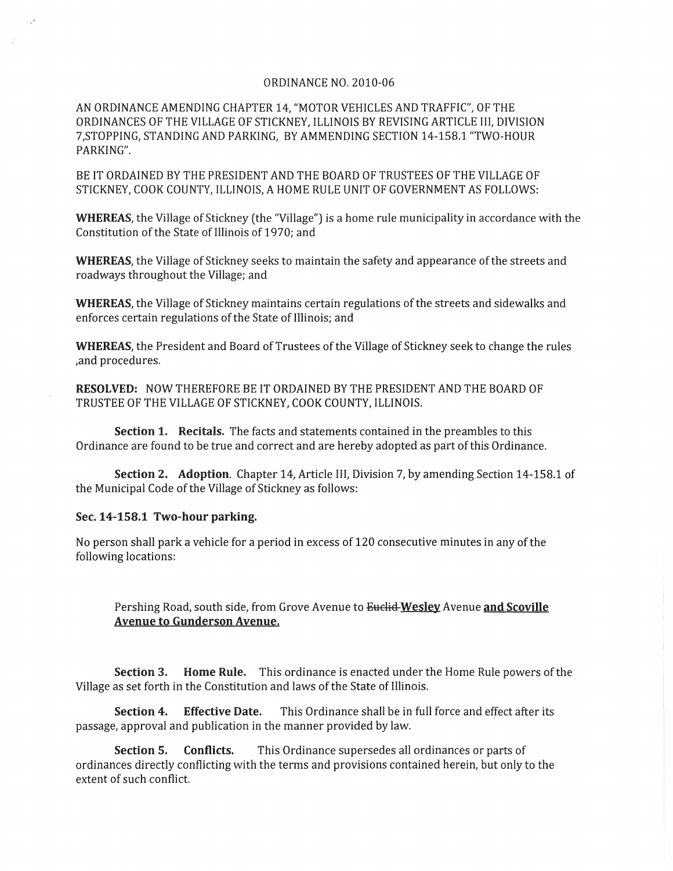## ORDINANCE NO. 2010-06

AN ORDINANCE AMENDING CHAPTER 14, "MOTOR VEHICLES AND TRAFFIC', OF THE ORDINANCES OF THE VILLAGE OF STICKNEY, ILLINOIS BY REVISING ARTICLE III, DIVISION 7,STOPPING, STANDING AND PARKING, BY AM MENDING SECTION 14-158.1 "TWO-HOUR PARKING".

BE IT ORDAINED BY THE PRESIDENT AND THE BOARD OF TRUSTEES OF THE VILLAGE OF STICKNEY, COOK COUNTY, ILLINOIS, A HOME RULE UNIT OF GOVERNMENT AS FOLLOWS:

WHEREAS, the Village of Stickney (the "Village") is a home rule municipality in accordance with the Constitution of the State of Illinois of 1970; and

WHEREAS, the Village of Stickney seeks to maintain the safety and appearance of the streets and roadways throughout the Village; and

WHEREAS, the Village of Stickney maintains certain regulations of the streets and sidewalks and enforces certain regulations of the State of Illinois; and

WHEREAS, the President and Board of Trustees of the Village of Stickney seek to change the rules ,and procedures.

RESOLVED: NOW THEREFORE BE IT ORDAINED BY THE PRESIDENT AND THE BOARD OF TRUSTEE OF THE VILLAGE OF STICKNEY, COOK COUNTY, ILLINOIS.

Section 1, Recitals, The facts and statements contained in the preambles to this Ordinance are found to be true and correct and are hereby adopted as part of this Ordinance.

Section 2. Adoption. Chapter 14, Article III, Division 7, by amending Section 14-158.1 of the Municipal Code of the Village of Stickney as follows:

## Sec. 14-158.1 Two-hour parking.

No person shall park a vehicle for a period in excess of 120 consecutive minutes in any of the following locations:

Pershing Road, south side, from Grove Avenue to Euclid Wesley Avenue and Scoville Avenue to Gunderson Avenue.

Section 3. Home Rule. This ordinance is enacted under the Home Rule powers of the Village as set forth in the Constitution and laws of the State of Illinois.

Section 4. Effective Date. This Ordinance shall be in full force and effect after its passage, approval and publication in the manner provided by law,

Section 5. Conflicts. This Ordinance supersedes all ordinances or parts of ordinances directly conflicting with the terms and provisions contained herein, but only to the extent of such conflict.